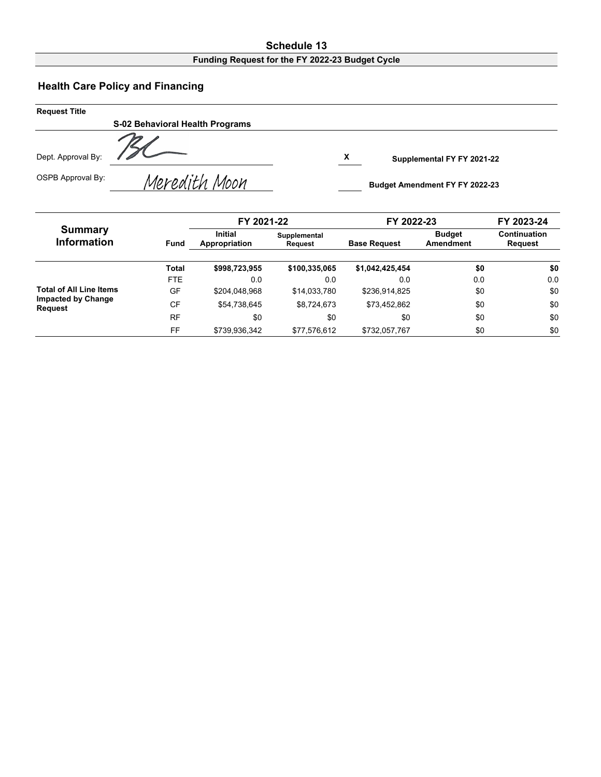## **Schedule 13 Funding Request for the FY 2022-23 Budget Cycle**

## **Health Care Policy and Financing**

| <b>Request Title</b> |                                 |                                       |  |
|----------------------|---------------------------------|---------------------------------------|--|
|                      | S-02 Behavioral Health Programs |                                       |  |
| Dept. Approval By:   |                                 | X<br>Supplemental FY FY 2021-22       |  |
| OSPB Approval By:    | Meredith Moon                   | <b>Budget Amendment FY FY 2022-23</b> |  |

|                                             |             | FY 2021-22                      |                                | FY 2022-23          |                            | FY 2023-24              |
|---------------------------------------------|-------------|---------------------------------|--------------------------------|---------------------|----------------------------|-------------------------|
| <b>Summary</b><br><b>Information</b>        | <b>Fund</b> | <b>Initial</b><br>Appropriation | Supplemental<br><b>Request</b> | <b>Base Request</b> | <b>Budget</b><br>Amendment | Continuation<br>Request |
|                                             | Total       | \$998,723,955                   | \$100,335,065                  | \$1,042,425,454     | \$0                        | \$0                     |
|                                             | <b>FTE</b>  | 0.0                             | 0.0                            | 0.0                 | 0.0                        | 0.0                     |
| <b>Total of All Line Items</b>              | GF          | \$204.048.968                   | \$14,033,780                   | \$236,914,825       | \$0                        | \$0                     |
| <b>Impacted by Change</b><br><b>Request</b> | CF          | \$54,738,645                    | \$8,724,673                    | \$73,452,862        | \$0                        | \$0                     |
|                                             | <b>RF</b>   | \$0                             | \$0                            | \$0                 | \$0                        | \$0                     |
|                                             | FF          | \$739,936,342                   | \$77.576.612                   | \$732,057,767       | \$0                        | \$0                     |